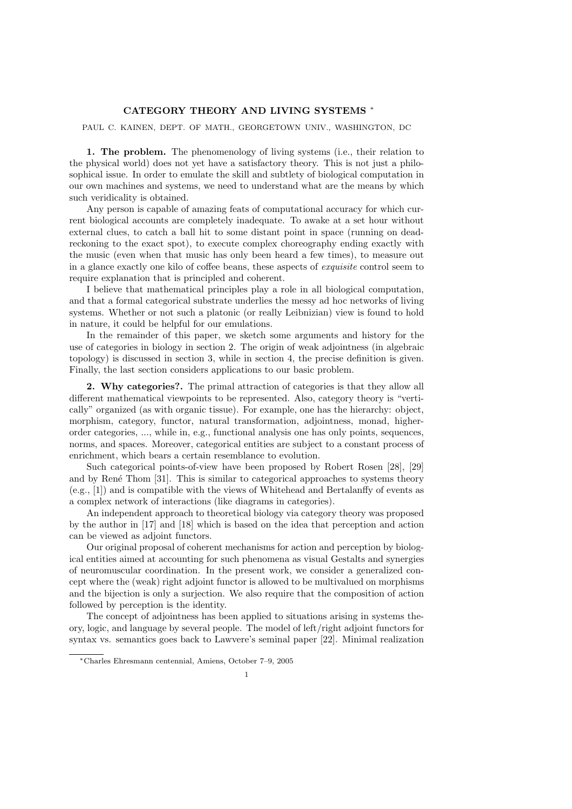## CATEGORY THEORY AND LIVING SYSTEMS <sup>∗</sup>

PAUL C. KAINEN, DEPT. OF MATH., GEORGETOWN UNIV., WASHINGTON, DC

1. The problem. The phenomenology of living systems (i.e., their relation to the physical world) does not yet have a satisfactory theory. This is not just a philosophical issue. In order to emulate the skill and subtlety of biological computation in our own machines and systems, we need to understand what are the means by which such veridicality is obtained.

Any person is capable of amazing feats of computational accuracy for which current biological accounts are completely inadequate. To awake at a set hour without external clues, to catch a ball hit to some distant point in space (running on deadreckoning to the exact spot), to execute complex choreography ending exactly with the music (even when that music has only been heard a few times), to measure out in a glance exactly one kilo of coffee beans, these aspects of exquisite control seem to require explanation that is principled and coherent.

I believe that mathematical principles play a role in all biological computation, and that a formal categorical substrate underlies the messy ad hoc networks of living systems. Whether or not such a platonic (or really Leibnizian) view is found to hold in nature, it could be helpful for our emulations.

In the remainder of this paper, we sketch some arguments and history for the use of categories in biology in section 2. The origin of weak adjointness (in algebraic topology) is discussed in section 3, while in section 4, the precise definition is given. Finally, the last section considers applications to our basic problem.

2. Why categories?. The primal attraction of categories is that they allow all different mathematical viewpoints to be represented. Also, category theory is "vertically" organized (as with organic tissue). For example, one has the hierarchy: object, morphism, category, functor, natural transformation, adjointness, monad, higherorder categories, ..., while in, e.g., functional analysis one has only points, sequences, norms, and spaces. Moreover, categorical entities are subject to a constant process of enrichment, which bears a certain resemblance to evolution.

Such categorical points-of-view have been proposed by Robert Rosen [28], [29] and by René Thom [31]. This is similar to categorical approaches to systems theory (e.g., [1]) and is compatible with the views of Whitehead and Bertalanffy of events as a complex network of interactions (like diagrams in categories).

An independent approach to theoretical biology via category theory was proposed by the author in [17] and [18] which is based on the idea that perception and action can be viewed as adjoint functors.

Our original proposal of coherent mechanisms for action and perception by biological entities aimed at accounting for such phenomena as visual Gestalts and synergies of neuromuscular coordination. In the present work, we consider a generalized concept where the (weak) right adjoint functor is allowed to be multivalued on morphisms and the bijection is only a surjection. We also require that the composition of action followed by perception is the identity.

The concept of adjointness has been applied to situations arising in systems theory, logic, and language by several people. The model of left/right adjoint functors for syntax vs. semantics goes back to Lawvere's seminal paper [22]. Minimal realization

<sup>∗</sup>Charles Ehresmann centennial, Amiens, October 7–9, 2005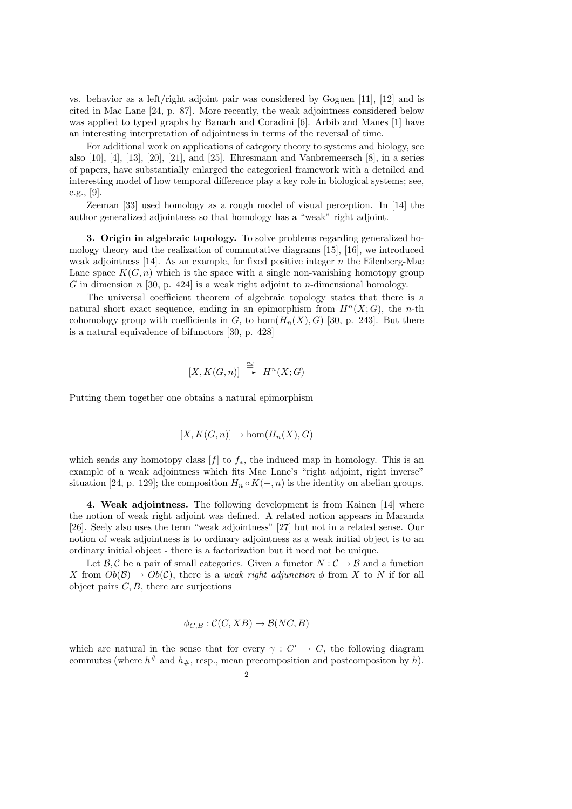vs. behavior as a left/right adjoint pair was considered by Goguen [11], [12] and is cited in Mac Lane [24, p. 87]. More recently, the weak adjointness considered below was applied to typed graphs by Banach and Coradini [6]. Arbib and Manes [1] have an interesting interpretation of adjointness in terms of the reversal of time.

For additional work on applications of category theory to systems and biology, see also  $[10]$ ,  $[4]$ ,  $[13]$ ,  $[20]$ ,  $[21]$ , and  $[25]$ . Ehresmann and Vanbremeersch  $[8]$ , in a series of papers, have substantially enlarged the categorical framework with a detailed and interesting model of how temporal difference play a key role in biological systems; see, e.g., [9].

Zeeman [33] used homology as a rough model of visual perception. In [14] the author generalized adjointness so that homology has a "weak" right adjoint.

3. Origin in algebraic topology. To solve problems regarding generalized homology theory and the realization of commutative diagrams [15], [16], we introduced weak adjointness [14]. As an example, for fixed positive integer  $n$  the Eilenberg-Mac Lane space  $K(G, n)$  which is the space with a single non-vanishing homotopy group G in dimension n [30, p. 424] is a weak right adjoint to n-dimensional homology.

The universal coefficient theorem of algebraic topology states that there is a natural short exact sequence, ending in an epimorphism from  $H<sup>n</sup>(X;G)$ , the *n*-th cohomology group with coefficients in G, to hom $(H_n(X), G)$  [30, p. 243]. But there is a natural equivalence of bifunctors [30, p. 428]

$$
[X, K(G, n)] \stackrel{\cong}{\longrightarrow} H^n(X; G)
$$

Putting them together one obtains a natural epimorphism

$$
[X, K(G, n)] \to \hom(H_n(X), G)
$$

which sends any homotopy class  $[f]$  to  $f_*$ , the induced map in homology. This is an example of a weak adjointness which fits Mac Lane's "right adjoint, right inverse" situation [24, p. 129]; the composition  $H_n \circ K(-, n)$  is the identity on abelian groups.

4. Weak adjointness. The following development is from Kainen [14] where the notion of weak right adjoint was defined. A related notion appears in Maranda [26]. Seely also uses the term "weak adjointness" [27] but not in a related sense. Our notion of weak adjointness is to ordinary adjointness as a weak initial object is to an ordinary initial object - there is a factorization but it need not be unique.

Let  $\mathcal{B}, \mathcal{C}$  be a pair of small categories. Given a functor  $N : \mathcal{C} \to \mathcal{B}$  and a function X from  $Ob(\mathcal{B}) \to Ob(\mathcal{C})$ , there is a weak right adjunction  $\phi$  from X to N if for all object pairs  $C, B$ , there are surjections

$$
\phi_{C,B} : \mathcal{C}(C, XB) \to \mathcal{B}(NC, B)
$$

which are natural in the sense that for every  $\gamma : C' \to C$ , the following diagram commutes (where  $h^{\#}$  and  $h_{\#}$ , resp., mean precomposition and postcompositon by h).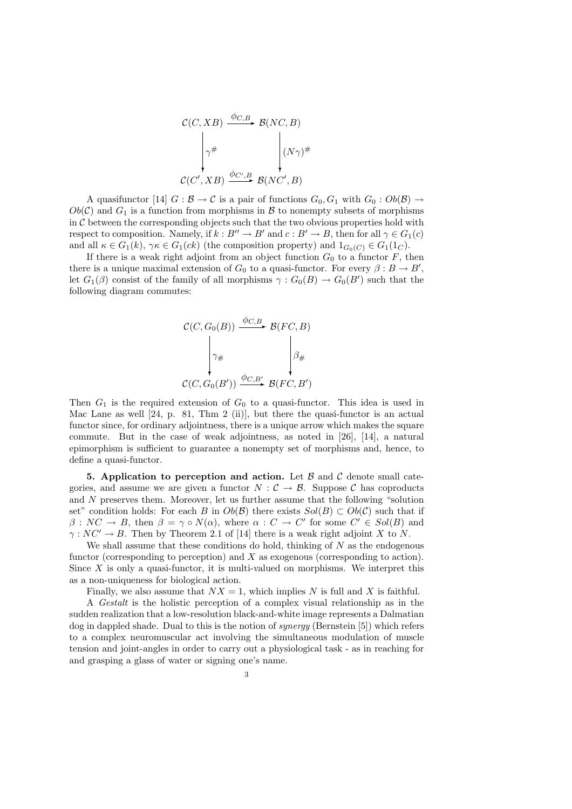$$
\mathcal{C}(C, XB) \xrightarrow{\phi_{C,B}} \mathcal{B}(NC, B)
$$
\n
$$
\begin{array}{c}\n\gamma^{\#} \\
\gamma^{\#} \\
\mathcal{C}(C', XB) \xrightarrow{\phi_{C',B}} \mathcal{B}(NC', B)\n\end{array}
$$

A quasifunctor [14]  $G : \mathcal{B} \to \mathcal{C}$  is a pair of functions  $G_0, G_1$  with  $G_0 : Ob(\mathcal{B}) \to$  $Ob(\mathcal{C})$  and  $G_1$  is a function from morphisms in  $\mathcal B$  to nonempty subsets of morphisms in  $C$  between the corresponding objects such that the two obvious properties hold with respect to composition. Namely, if  $k : B'' \to B'$  and  $c : B' \to B$ , then for all  $\gamma \in G_1(c)$ and all  $\kappa \in G_1(k)$ ,  $\gamma \kappa \in G_1(ck)$  (the composition property) and  $1_{G_0(C)} \in G_1(1_C)$ .

If there is a weak right adjoint from an object function  $G_0$  to a functor  $F$ , then there is a unique maximal extension of  $G_0$  to a quasi-functor. For every  $\beta: B \to B'$ , let  $G_1(\beta)$  consist of the family of all morphisms  $\gamma: G_0(B) \to G_0(B')$  such that the following diagram commutes:

$$
\mathcal{C}(C, G_0(B)) \xrightarrow{\phi_{C,B}} \mathcal{B}(FC, B)
$$
\n
$$
\downarrow \gamma_{\#} \qquad \qquad \downarrow \beta_{\#}
$$
\n
$$
\mathcal{C}(C, G_0(B')) \xrightarrow{\phi_{C,B'}} \mathcal{B}(FC, B')
$$

Then  $G_1$  is the required extension of  $G_0$  to a quasi-functor. This idea is used in Mac Lane as well [24, p. 81, Thm 2 (ii)], but there the quasi-functor is an actual functor since, for ordinary adjointness, there is a unique arrow which makes the square commute. But in the case of weak adjointness, as noted in [26], [14], a natural epimorphism is sufficient to guarantee a nonempty set of morphisms and, hence, to define a quasi-functor.

5. Application to perception and action. Let  $\beta$  and  $\beta$  denote small categories, and assume we are given a functor  $N : \mathcal{C} \to \mathcal{B}$ . Suppose C has coproducts and N preserves them. Moreover, let us further assume that the following "solution set" condition holds: For each B in  $Ob(\mathcal{B})$  there exists  $Sol(B) \subset Ob(\mathcal{C})$  such that if  $\beta: NC \to B$ , then  $\beta = \gamma \circ N(\alpha)$ , where  $\alpha: C \to C'$  for some  $C' \in Sol(B)$  and  $\gamma: NC' \to B$ . Then by Theorem 2.1 of [14] there is a weak right adjoint X to N.

We shall assume that these conditions do hold, thinking of  $N$  as the endogenous functor (corresponding to perception) and  $X$  as exogenous (corresponding to action). Since  $X$  is only a quasi-functor, it is multi-valued on morphisms. We interpret this as a non-uniqueness for biological action.

Finally, we also assume that  $NX = 1$ , which implies N is full and X is faithful.

A Gestalt is the holistic perception of a complex visual relationship as in the sudden realization that a low-resolution black-and-white image represents a Dalmatian dog in dappled shade. Dual to this is the notion of synergy (Bernstein [5]) which refers to a complex neuromuscular act involving the simultaneous modulation of muscle tension and joint-angles in order to carry out a physiological task - as in reaching for and grasping a glass of water or signing one's name.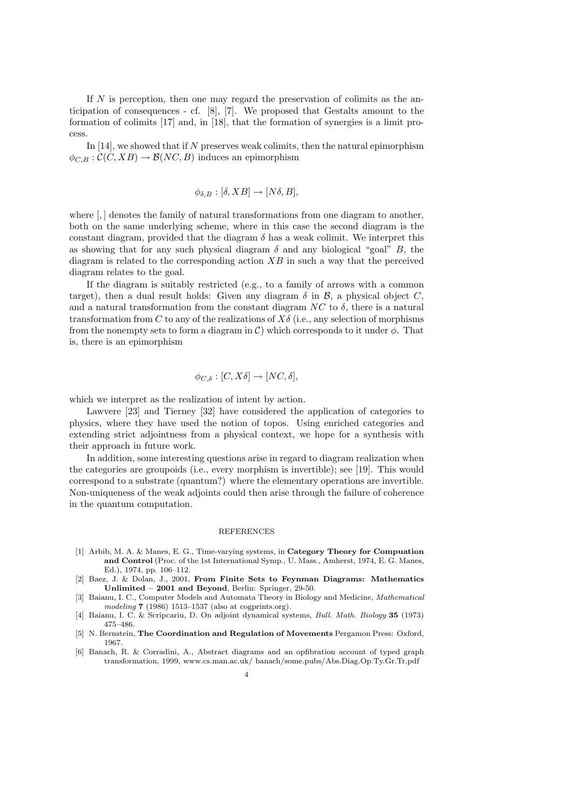If N is perception, then one may regard the preservation of colimits as the anticipation of consequences - cf. [8], [7]. We proposed that Gestalts amount to the formation of colimits [17] and, in [18], that the formation of synergies is a limit process.

In  $[14]$ , we showed that if N preserves weak colimits, then the natural epimorphism  $\phi_{C,B} : \mathcal{C}(C, XB) \to \mathcal{B}(NC, B)$  induces an epimorphism

$$
\phi_{\delta,B} : [\delta, XB] \to [N\delta, B],
$$

where  $\left[ , \right]$  denotes the family of natural transformations from one diagram to another, both on the same underlying scheme, where in this case the second diagram is the constant diagram, provided that the diagram  $\delta$  has a weak colimit. We interpret this as showing that for any such physical diagram  $\delta$  and any biological "goal" B, the diagram is related to the corresponding action  $XB$  in such a way that the perceived diagram relates to the goal.

If the diagram is suitably restricted (e.g., to a family of arrows with a common target), then a dual result holds: Given any diagram  $\delta$  in  $\mathcal{B}$ , a physical object C, and a natural transformation from the constant diagram  $NC$  to  $\delta$ , there is a natural transformation from C to any of the realizations of  $X\delta$  (i.e., any selection of morphisms from the nonempty sets to form a diagram in  $\mathcal{C}$ ) which corresponds to it under  $\phi$ . That is, there is an epimorphism

$$
\phi_{C,\delta} : [C, X\delta] \to [NC, \delta],
$$

which we interpret as the realization of intent by action.

Lawvere [23] and Tierney [32] have considered the application of categories to physics, where they have used the notion of topos. Using enriched categories and extending strict adjointness from a physical context, we hope for a synthesis with their approach in future work.

In addition, some interesting questions arise in regard to diagram realization when the categories are groupoids (i.e., every morphism is invertible); see [19]. This would correspond to a substrate (quantum?) where the elementary operations are invertible. Non-uniqueness of the weak adjoints could then arise through the failure of coherence in the quantum computation.

## REFERENCES

- [1] Arbib, M. A. & Manes, E. G., Time-varying systems, in Category Theory for Compuation and Control (Proc. of the 1st International Symp., U. Mass., Amherst, 1974, E. G. Manes, Ed.), 1974, pp. 106–112.
- [2] Baez, J. & Dolan, J., 2001, From Finite Sets to Feynman Diagrams: Mathematics Unlimited – 2001 and Beyond, Berlin: Springer, 29-50.
- [3] Baianu, I. C., Computer Models and Automata Theory in Biology and Medicine, Mathematical modeling 7 (1986) 1513–1537 (also at cogprints.org).
- [4] Baianu, I. C. & Scripcariu, D. On adjoint dynamical systems, Bull. Math. Biology 35 (1973) 475–486.
- [5] N. Bernstein, The Coordination and Regulation of Movements Pergamon Press: Oxford, 1967.
- [6] Banach, R. & Corradini, A., Abstract diagrams and an opfibration account of typed graph transformation, 1999, www.cs.man.ac.uk/ banach/some.pubs/Abs.Diag.Op.Ty.Gr.Tr.pdf